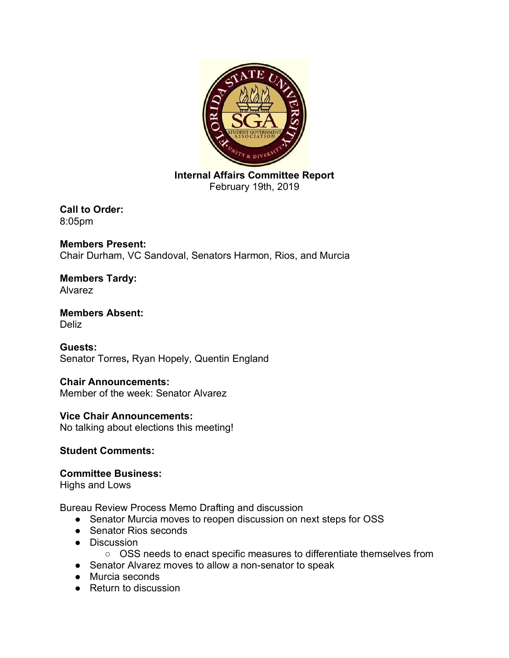

**Internal Affairs Committee Report** February 19th, 2019

**Call to Order:**  8:05pm

**Members Present:**  Chair Durham, VC Sandoval, Senators Harmon, Rios, and Murcia

**Members Tardy:**  Alvarez

**Members Absent:**  Deliz

**Guests:** Senator Torres**,** Ryan Hopely, Quentin England

**Chair Announcements:** Member of the week: Senator Alvarez

**Vice Chair Announcements:** No talking about elections this meeting!

## **Student Comments:**

### **Committee Business:**

Highs and Lows

Bureau Review Process Memo Drafting and discussion

- Senator Murcia moves to reopen discussion on next steps for OSS
- Senator Rios seconds
- Discussion
	- OSS needs to enact specific measures to differentiate themselves from
- Senator Alvarez moves to allow a non-senator to speak
- Murcia seconds
- Return to discussion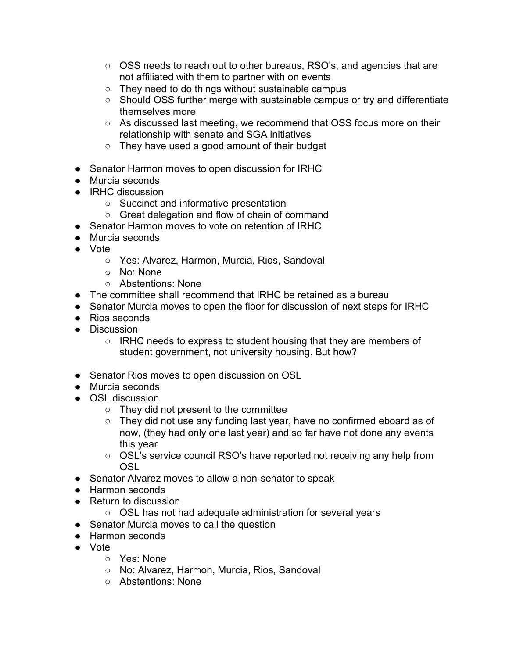- OSS needs to reach out to other bureaus, RSO's, and agencies that are not affiliated with them to partner with on events
- They need to do things without sustainable campus
- Should OSS further merge with sustainable campus or try and differentiate themselves more
- As discussed last meeting, we recommend that OSS focus more on their relationship with senate and SGA initiatives
- They have used a good amount of their budget
- Senator Harmon moves to open discussion for IRHC
- Murcia seconds
- IRHC discussion
	- Succinct and informative presentation
	- Great delegation and flow of chain of command
- Senator Harmon moves to vote on retention of IRHC
- Murcia seconds
- Vote
	- Yes: Alvarez, Harmon, Murcia, Rios, Sandoval
	- No: None
	- Abstentions: None
- The committee shall recommend that IRHC be retained as a bureau
- Senator Murcia moves to open the floor for discussion of next steps for IRHC
- Rios seconds
- Discussion
	- IRHC needs to express to student housing that they are members of student government, not university housing. But how?
- Senator Rios moves to open discussion on OSL
- Murcia seconds
- OSL discussion
	- They did not present to the committee
	- They did not use any funding last year, have no confirmed eboard as of now, (they had only one last year) and so far have not done any events this year
	- OSL's service council RSO's have reported not receiving any help from OSL
- Senator Alvarez moves to allow a non-senator to speak
- Harmon seconds
- Return to discussion
	- OSL has not had adequate administration for several years
- Senator Murcia moves to call the question
- Harmon seconds
- Vote
	- Yes: None
	- No: Alvarez, Harmon, Murcia, Rios, Sandoval
	- Abstentions: None